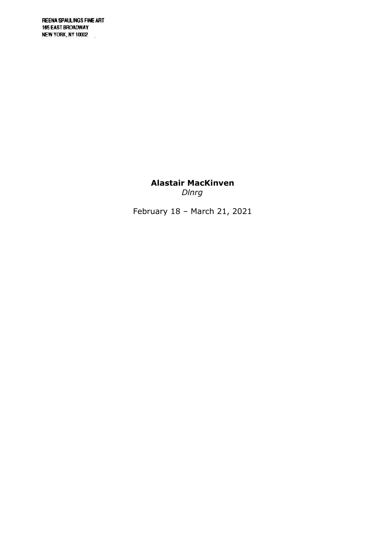**REENA SPAULINGS FINE ART** 165 EAST BROADWAY NEW YORK, NY 10002  $\overline{\mathcal{R}}$ 

> Alastair MacKinven Dlnrg

February 18 – March 21, 2021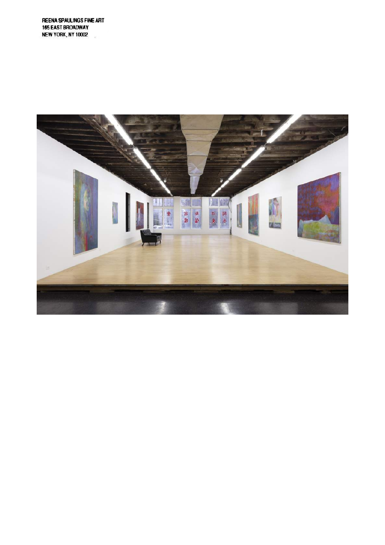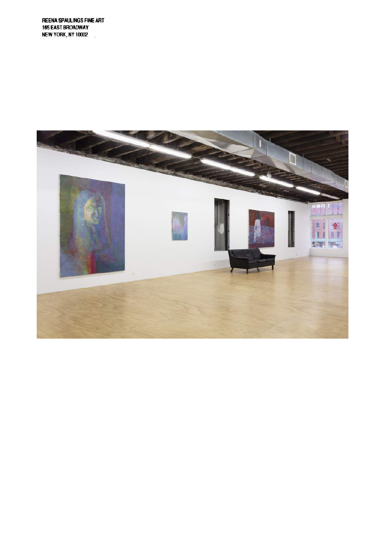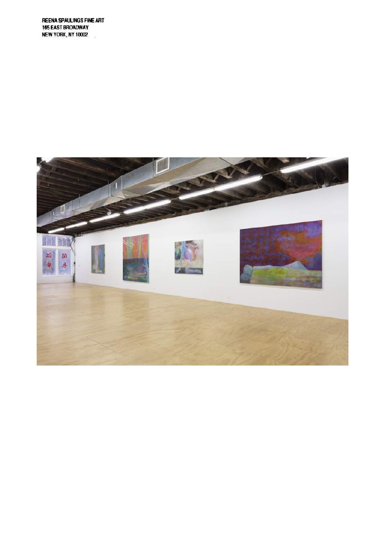**REENA SPAULINGS FINE ART** 165 EAST BROADWAY NEW YORK, NY 10002  $\overline{\mathcal{M}}$ 

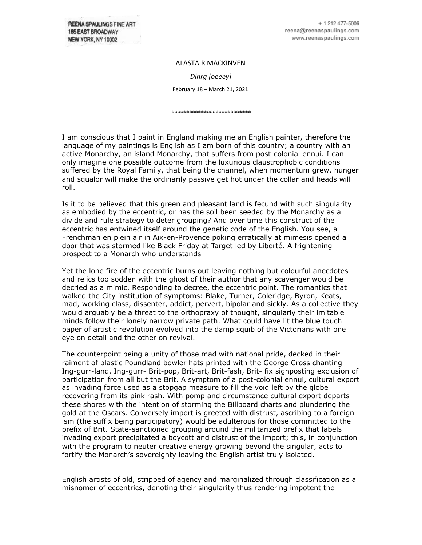**REENA SPAULINGS FINE ART** 165 EAST BROADWAY NEW YORK, NY 10002

ALASTAIR MACKINVEN *Dlnrg [oeeey]* February 18 – March 21, 2021

\*\*\*\*\*\*\*\*\*\*\*\*\*\*\*\*\*\*\*\*\*\*\*\*\*\*\*

I am conscious that I paint in England making me an English painter, therefore the language of my paintings is English as I am born of this country; a country with an active Monarchy, an island Monarchy, that suffers from post-colonial ennui. I can only imagine one possible outcome from the luxurious claustrophobic conditions suffered by the Royal Family, that being the channel, when momentum grew, hunger and squalor will make the ordinarily passive get hot under the collar and heads will roll.

Is it to be believed that this green and pleasant land is fecund with such singularity as embodied by the eccentric, or has the soil been seeded by the Monarchy as a divide and rule strategy to deter grouping? And over time this construct of the eccentric has entwined itself around the genetic code of the English. You see, a Frenchman en plein air in Aix-en-Provence poking erratically at mimesis opened a door that was stormed like Black Friday at Target led by Liberté. A frightening prospect to a Monarch who understands

Yet the lone fire of the eccentric burns out leaving nothing but colourful anecdotes and relics too sodden with the ghost of their author that any scavenger would be decried as a mimic. Responding to decree, the eccentric point. The romantics that walked the City institution of symptoms: Blake, Turner, Coleridge, Byron, Keats, mad, working class, dissenter, addict, pervert, bipolar and sickly. As a collective they would arguably be a threat to the orthopraxy of thought, singularly their imitable minds follow their lonely narrow private path. What could have lit the blue touch paper of artistic revolution evolved into the damp squib of the Victorians with one eye on detail and the other on revival.

The counterpoint being a unity of those mad with national pride, decked in their raiment of plastic Poundland bowler hats printed with the George Cross chanting Ing-gurr-land, Ing-gurr- Brit-pop, Brit-art, Brit-fash, Brit- fix signposting exclusion of participation from all but the Brit. A symptom of a post-colonial ennui, cultural export as invading force used as a stopgap measure to fill the void left by the globe recovering from its pink rash. With pomp and circumstance cultural export departs these shores with the intention of storming the Billboard charts and plundering the gold at the Oscars. Conversely import is greeted with distrust, ascribing to a foreign ism (the suffix being participatory) would be adulterous for those committed to the prefix of Brit. State-sanctioned grouping around the militarized prefix that labels invading export precipitated a boycott and distrust of the import; this, in conjunction with the program to neuter creative energy growing beyond the singular, acts to fortify the Monarch's sovereignty leaving the English artist truly isolated.

English artists of old, stripped of agency and marginalized through classification as a misnomer of eccentrics, denoting their singularity thus rendering impotent the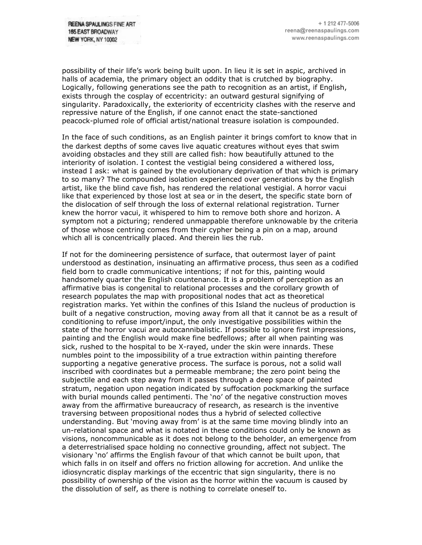possibility of their life's work being built upon. In lieu it is set in aspic, archived in halls of academia, the primary object an oddity that is crutched by biography. Logically, following generations see the path to recognition as an artist, if English, exists through the cosplay of eccentricity: an outward gestural signifying of singularity. Paradoxically, the exteriority of eccentricity clashes with the reserve and repressive nature of the English, if one cannot enact the state-sanctioned peacock-plumed role of official artist/national treasure isolation is compounded.

In the face of such conditions, as an English painter it brings comfort to know that in the darkest depths of some caves live aquatic creatures without eyes that swim avoiding obstacles and they still are called fish: how beautifully attuned to the interiority of isolation. I contest the vestigial being considered a withered loss, instead I ask: what is gained by the evolutionary deprivation of that which is primary to so many? The compounded isolation experienced over generations by the English artist, like the blind cave fish, has rendered the relational vestigial. A horror vacui like that experienced by those lost at sea or in the desert, the specific state born of the dislocation of self through the loss of external relational registration. Turner knew the horror vacui, it whispered to him to remove both shore and horizon. A symptom not a picturing; rendered unmappable therefore unknowable by the criteria of those whose centring comes from their cypher being a pin on a map, around which all is concentrically placed. And therein lies the rub.

If not for the domineering persistence of surface, that outermost layer of paint understood as destination, insinuating an affirmative process, thus seen as a codified field born to cradle communicative intentions; if not for this, painting would handsomely quarter the English countenance. It is a problem of perception as an affirmative bias is congenital to relational processes and the corollary growth of research populates the map with propositional nodes that act as theoretical registration marks. Yet within the confines of this Island the nucleus of production is built of a negative construction, moving away from all that it cannot be as a result of conditioning to refuse import/input, the only investigative possibilities within the state of the horror vacui are autocannibalistic. If possible to ignore first impressions, painting and the English would make fine bedfellows; after all when painting was sick, rushed to the hospital to be X-rayed, under the skin were innards. These numbles point to the impossibility of a true extraction within painting therefore supporting a negative generative process. The surface is porous, not a solid wall inscribed with coordinates but a permeable membrane; the zero point being the subjectile and each step away from it passes through a deep space of painted stratum, negation upon negation indicated by suffocation pockmarking the surface with burial mounds called pentimenti. The 'no' of the negative construction moves away from the affirmative bureaucracy of research, as research is the inventive traversing between propositional nodes thus a hybrid of selected collective understanding. But 'moving away from' is at the same time moving blindly into an un-relational space and what is notated in these conditions could only be known as visions, noncommunicable as it does not belong to the beholder, an emergence from a deterrestrialised space holding no connective grounding, affect not subject. The visionary 'no' affirms the English favour of that which cannot be built upon, that which falls in on itself and offers no friction allowing for accretion. And unlike the idiosyncratic display markings of the eccentric that sign singularity, there is no possibility of ownership of the vision as the horror within the vacuum is caused by the dissolution of self, as there is nothing to correlate oneself to.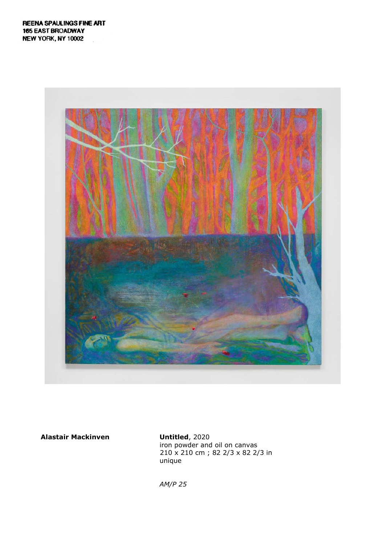

iron powder and oil on canvas 210 x 210 cm ; 82 2/3 x 82 2/3 in unique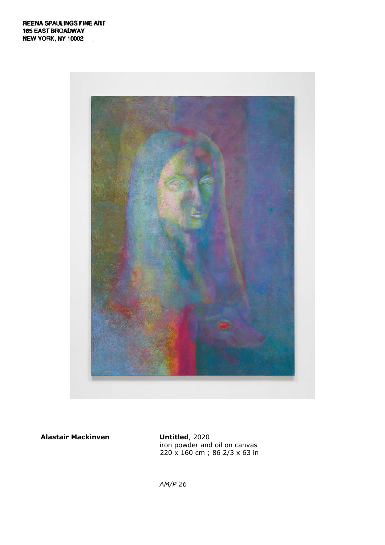

iron powder and oil on canvas 220 x 160 cm ; 86 2/3 x 63 in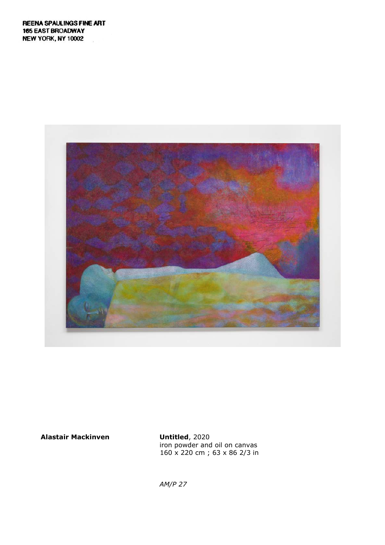

iron powder and oil on canvas 160 x 220 cm ; 63 x 86 2/3 in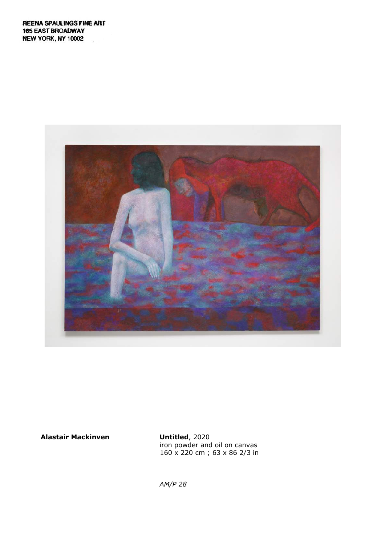

iron powder and oil on canvas 160 x 220 cm ; 63 x 86 2/3 in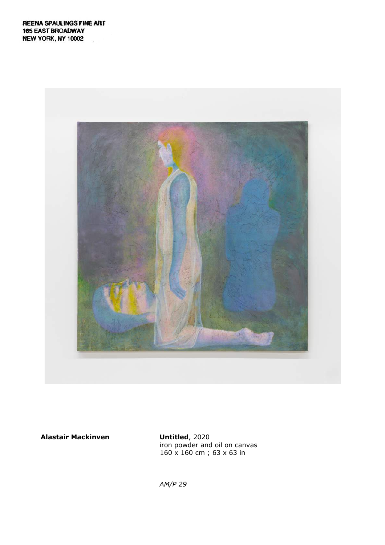![](_page_10_Picture_1.jpeg)

iron powder and oil on canvas 160 x 160 cm ; 63 x 63 in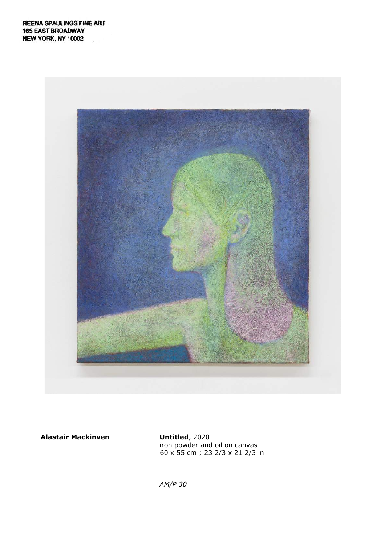![](_page_11_Picture_1.jpeg)

iron powder and oil on canvas 60 x 55 cm ; 23 2/3 x 21 2/3 in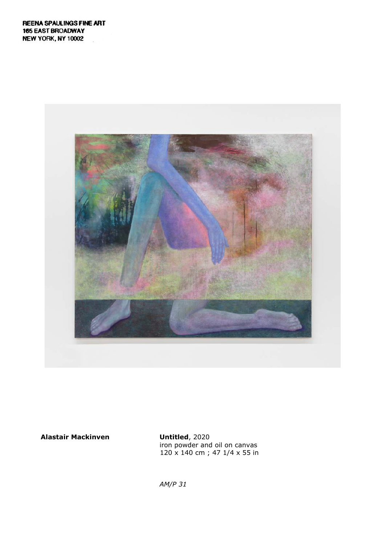![](_page_12_Picture_1.jpeg)

iron powder and oil on canvas 120 x 140 cm ; 47 1/4 x 55 in